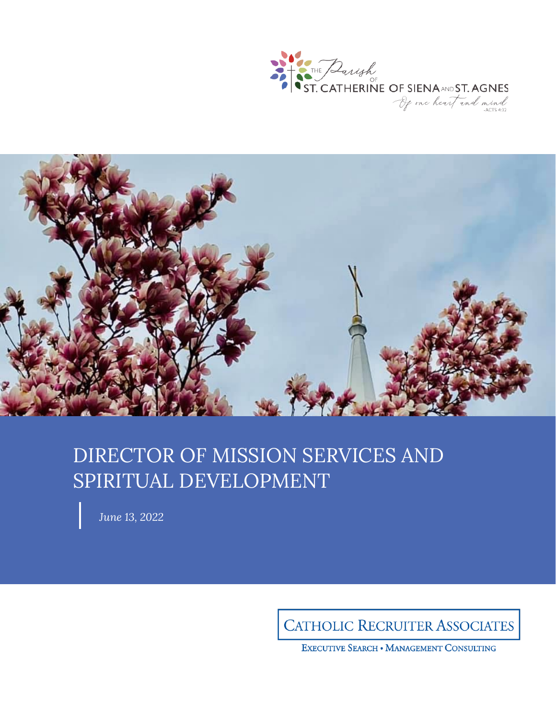



# DIRECTOR OF MISSION SERVICES AND SPIRITUAL DEVELOPMENT

*June 13, 2022*

**CATHOLIC RECRUITER ASSOCIATES** 

EXECUTIVE SEARCH . MANAGEMENT CONSULTING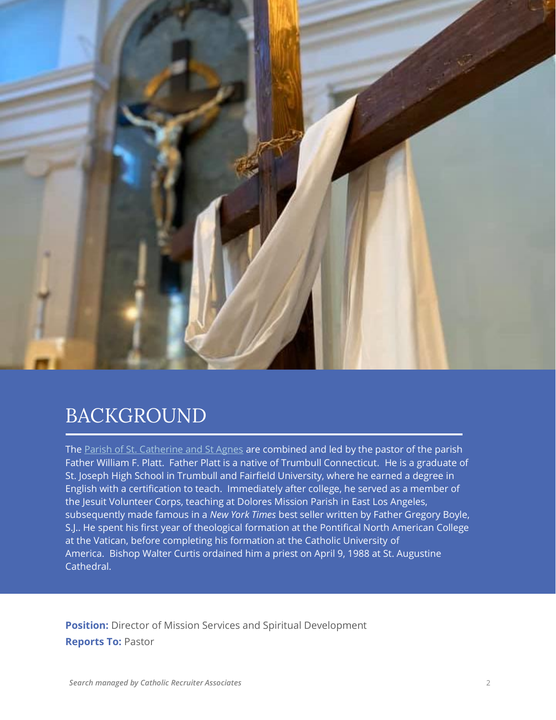

## BACKGROUND

The [Parish of St. Catherine and St Agnes](https://www.stc-sta.org/) are combined and led by the pastor of the parish Father William F. Platt. Father Platt is a native of Trumbull Connecticut. He is a graduate of St. Joseph High School in Trumbull and Fairfield University, where he earned a degree in English with a certification to teach. Immediately after college, he served as a member of the Jesuit Volunteer Corps, teaching at Dolores Mission Parish in East Los Angeles, subsequently made famous in a *New York Times* best seller written by Father Gregory Boyle, S.J.. He spent his first year of theological formation at the Pontifical North American College at the Vatican, before completing his formation at the Catholic University of America. Bishop Walter Curtis ordained him a priest on April 9, 1988 at St. Augustine Cathedral.

**Position:** Director of Mission Services and Spiritual Development **Reports To:** Pastor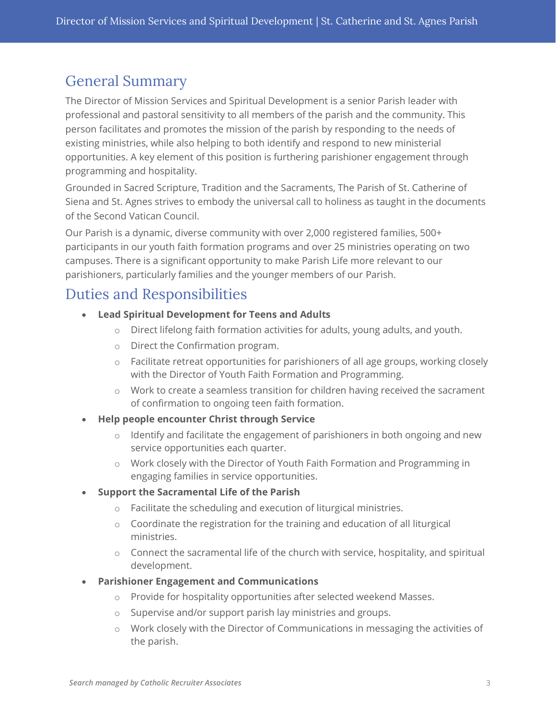## General Summary

The Director of Mission Services and Spiritual Development is a senior Parish leader with professional and pastoral sensitivity to all members of the parish and the community. This person facilitates and promotes the mission of the parish by responding to the needs of existing ministries, while also helping to both identify and respond to new ministerial opportunities. A key element of this position is furthering parishioner engagement through programming and hospitality.

Grounded in Sacred Scripture, Tradition and the Sacraments, The Parish of St. Catherine of Siena and St. Agnes strives to embody the universal call to holiness as taught in the documents of the Second Vatican Council.

Our Parish is a dynamic, diverse community with over 2,000 registered families, 500+ participants in our youth faith formation programs and over 25 ministries operating on two campuses. There is a significant opportunity to make Parish Life more relevant to our parishioners, particularly families and the younger members of our Parish.

## Duties and Responsibilities

- **Lead Spiritual Development for Teens and Adults**
	- o Direct lifelong faith formation activities for adults, young adults, and youth.
	- o Direct the Confirmation program.
	- $\circ$  Facilitate retreat opportunities for parishioners of all age groups, working closely with the Director of Youth Faith Formation and Programming.
	- o Work to create a seamless transition for children having received the sacrament of confirmation to ongoing teen faith formation.
- **Help people encounter Christ through Service**
	- o Identify and facilitate the engagement of parishioners in both ongoing and new service opportunities each quarter.
	- o Work closely with the Director of Youth Faith Formation and Programming in engaging families in service opportunities.

#### • **Support the Sacramental Life of the Parish**

- o Facilitate the scheduling and execution of liturgical ministries.
- o Coordinate the registration for the training and education of all liturgical ministries.
- o Connect the sacramental life of the church with service, hospitality, and spiritual development.
- **Parishioner Engagement and Communications**
	- o Provide for hospitality opportunities after selected weekend Masses.
	- o Supervise and/or support parish lay ministries and groups.
	- o Work closely with the Director of Communications in messaging the activities of the parish.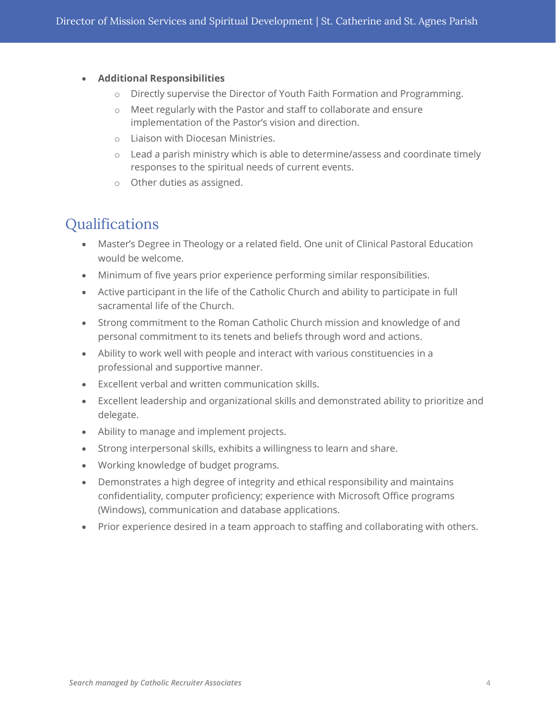#### • **Additional Responsibilities**

- o Directly supervise the Director of Youth Faith Formation and Programming.
- o Meet regularly with the Pastor and staff to collaborate and ensure implementation of the Pastor's vision and direction.
- o Liaison with Diocesan Ministries.
- o Lead a parish ministry which is able to determine/assess and coordinate timely responses to the spiritual needs of current events.
- o Other duties as assigned.

### **Qualifications**

- Master's Degree in Theology or a related field. One unit of Clinical Pastoral Education would be welcome.
- Minimum of five years prior experience performing similar responsibilities.
- Active participant in the life of the Catholic Church and ability to participate in full sacramental life of the Church.
- Strong commitment to the Roman Catholic Church mission and knowledge of and personal commitment to its tenets and beliefs through word and actions.
- Ability to work well with people and interact with various constituencies in a professional and supportive manner.
- Excellent verbal and written communication skills.
- Excellent leadership and organizational skills and demonstrated ability to prioritize and delegate.
- Ability to manage and implement projects.
- Strong interpersonal skills, exhibits a willingness to learn and share.
- Working knowledge of budget programs.
- Demonstrates a high degree of integrity and ethical responsibility and maintains confidentiality, computer proficiency; experience with Microsoft Office programs (Windows), communication and database applications.
- Prior experience desired in a team approach to staffing and collaborating with others.